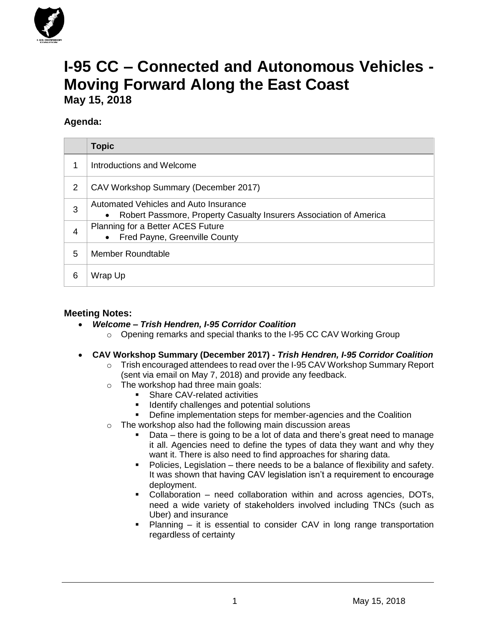

# **I-95 CC – Connected and Autonomous Vehicles - Moving Forward Along the East Coast May 15, 2018**

### **Agenda:**

|   | <b>Topic</b>                                                                                                             |
|---|--------------------------------------------------------------------------------------------------------------------------|
|   | Introductions and Welcome                                                                                                |
| 2 | CAV Workshop Summary (December 2017)                                                                                     |
| 3 | Automated Vehicles and Auto Insurance<br>Robert Passmore, Property Casualty Insurers Association of America<br>$\bullet$ |
| 4 | Planning for a Better ACES Future<br>Fred Payne, Greenville County<br>$\bullet$                                          |
| 5 | <b>Member Roundtable</b>                                                                                                 |
| 6 | Wrap Up                                                                                                                  |

#### **Meeting Notes:**

- *Welcome – Trish Hendren, I-95 Corridor Coalition*
	- o Opening remarks and special thanks to the I-95 CC CAV Working Group
- **CAV Workshop Summary (December 2017) -** *Trish Hendren, I-95 Corridor Coalition*
	- o Trish encouraged attendees to read over the I-95 CAV Workshop Summary Report (sent via email on May 7, 2018) and provide any feedback.
	- o The workshop had three main goals:
		- Share CAV-related activities
		- Identify challenges and potential solutions
		- **•** Define implementation steps for member-agencies and the Coalition
	- o The workshop also had the following main discussion areas
		- Data there is going to be a lot of data and there's great need to manage it all. Agencies need to define the types of data they want and why they want it. There is also need to find approaches for sharing data.
		- Policies, Legislation there needs to be a balance of flexibility and safety. It was shown that having CAV legislation isn't a requirement to encourage deployment.
		- Collaboration need collaboration within and across agencies, DOTs, need a wide variety of stakeholders involved including TNCs (such as Uber) and insurance
		- Planning it is essential to consider CAV in long range transportation regardless of certainty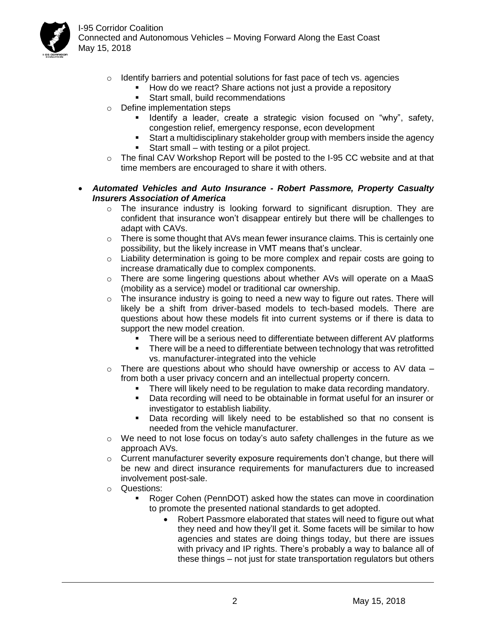

I-95 Corridor Coalition Connected and Autonomous Vehicles – Moving Forward Along the East Coast May 15, 2018

- o Identify barriers and potential solutions for fast pace of tech vs. agencies
	- How do we react? Share actions not just a provide a repository
	- Start small, build recommendations
- o Define implementation steps
	- Identify a leader, create a strategic vision focused on "why", safety, congestion relief, emergency response, econ development
	- Start a multidisciplinary stakeholder group with members inside the agency
	- Start small with testing or a pilot project.
- $\circ$  The final CAV Workshop Report will be posted to the I-95 CC website and at that time members are encouraged to share it with others.
- *Automated Vehicles and Auto Insurance - Robert Passmore, Property Casualty Insurers Association of America*
	- o The insurance industry is looking forward to significant disruption. They are confident that insurance won't disappear entirely but there will be challenges to adapt with CAVs.
	- $\circ$  There is some thought that AVs mean fewer insurance claims. This is certainly one possibility, but the likely increase in VMT means that's unclear.
	- $\circ$  Liability determination is going to be more complex and repair costs are going to increase dramatically due to complex components.
	- o There are some lingering questions about whether AVs will operate on a MaaS (mobility as a service) model or traditional car ownership.
	- $\circ$  The insurance industry is going to need a new way to figure out rates. There will likely be a shift from driver-based models to tech-based models. There are questions about how these models fit into current systems or if there is data to support the new model creation.
		- There will be a serious need to differentiate between different AV platforms
		- **•** There will be a need to differentiate between technology that was retrofitted vs. manufacturer-integrated into the vehicle
	- There are questions about who should have ownership or access to AV data  $$ from both a user privacy concern and an intellectual property concern.
		- There will likely need to be regulation to make data recording mandatory.
		- **•** Data recording will need to be obtainable in format useful for an insurer or investigator to establish liability.
		- Data recording will likely need to be established so that no consent is needed from the vehicle manufacturer.
	- o We need to not lose focus on today's auto safety challenges in the future as we approach AVs.
	- $\circ$  Current manufacturer severity exposure requirements don't change, but there will be new and direct insurance requirements for manufacturers due to increased involvement post-sale.
	- o Questions:
		- Roger Cohen (PennDOT) asked how the states can move in coordination to promote the presented national standards to get adopted.
			- Robert Passmore elaborated that states will need to figure out what they need and how they'll get it. Some facets will be similar to how agencies and states are doing things today, but there are issues with privacy and IP rights. There's probably a way to balance all of these things – not just for state transportation regulators but others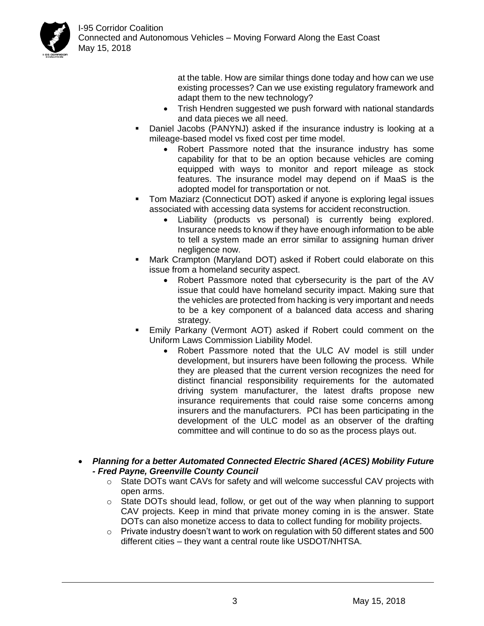

at the table. How are similar things done today and how can we use existing processes? Can we use existing regulatory framework and adapt them to the new technology?

- Trish Hendren suggested we push forward with national standards and data pieces we all need.
- Daniel Jacobs (PANYNJ) asked if the insurance industry is looking at a mileage-based model vs fixed cost per time model.
	- Robert Passmore noted that the insurance industry has some capability for that to be an option because vehicles are coming equipped with ways to monitor and report mileage as stock features. The insurance model may depend on if MaaS is the adopted model for transportation or not.
- Tom Maziarz (Connecticut DOT) asked if anyone is exploring legal issues associated with accessing data systems for accident reconstruction.
	- Liability (products vs personal) is currently being explored. Insurance needs to know if they have enough information to be able to tell a system made an error similar to assigning human driver negligence now.
- Mark Crampton (Maryland DOT) asked if Robert could elaborate on this issue from a homeland security aspect.
	- Robert Passmore noted that cybersecurity is the part of the AV issue that could have homeland security impact. Making sure that the vehicles are protected from hacking is very important and needs to be a key component of a balanced data access and sharing strategy.
- Emily Parkany (Vermont AOT) asked if Robert could comment on the Uniform Laws Commission Liability Model.
	- Robert Passmore noted that the ULC AV model is still under development, but insurers have been following the process. While they are pleased that the current version recognizes the need for distinct financial responsibility requirements for the automated driving system manufacturer, the latest drafts propose new insurance requirements that could raise some concerns among insurers and the manufacturers. PCI has been participating in the development of the ULC model as an observer of the drafting committee and will continue to do so as the process plays out.
- *Planning for a better Automated Connected Electric Shared (ACES) Mobility Future - Fred Payne, Greenville County Council*
	- $\circ$  State DOTs want CAVs for safety and will welcome successful CAV projects with open arms.
	- $\circ$  State DOTs should lead, follow, or get out of the way when planning to support CAV projects. Keep in mind that private money coming in is the answer. State DOTs can also monetize access to data to collect funding for mobility projects.
	- $\circ$  Private industry doesn't want to work on regulation with 50 different states and 500 different cities – they want a central route like USDOT/NHTSA.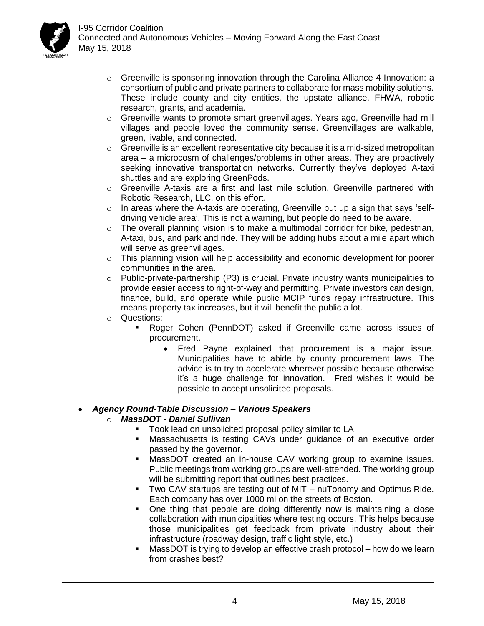

- $\circ$  Greenville is sponsoring innovation through the Carolina Alliance 4 Innovation: a consortium of public and private partners to collaborate for mass mobility solutions. These include county and city entities, the upstate alliance, FHWA, robotic research, grants, and academia.
- $\circ$  Greenville wants to promote smart greenvillages. Years ago, Greenville had mill villages and people loved the community sense. Greenvillages are walkable, green, livable, and connected.
- $\circ$  Greenville is an excellent representative city because it is a mid-sized metropolitan area – a microcosm of challenges/problems in other areas. They are proactively seeking innovative transportation networks. Currently they've deployed A-taxi shuttles and are exploring GreenPods.
- $\circ$  Greenville A-taxis are a first and last mile solution. Greenville partnered with Robotic Research, LLC. on this effort.
- o In areas where the A-taxis are operating, Greenville put up a sign that says 'selfdriving vehicle area'. This is not a warning, but people do need to be aware.
- $\circ$  The overall planning vision is to make a multimodal corridor for bike, pedestrian, A-taxi, bus, and park and ride. They will be adding hubs about a mile apart which will serve as greenvillages.
- $\circ$  This planning vision will help accessibility and economic development for poorer communities in the area.
- o Public-private-partnership (P3) is crucial. Private industry wants municipalities to provide easier access to right-of-way and permitting. Private investors can design, finance, build, and operate while public MCIP funds repay infrastructure. This means property tax increases, but it will benefit the public a lot.
- o Questions:
	- Roger Cohen (PennDOT) asked if Greenville came across issues of procurement.
		- Fred Payne explained that procurement is a major issue. Municipalities have to abide by county procurement laws. The advice is to try to accelerate wherever possible because otherwise it's a huge challenge for innovation. Fred wishes it would be possible to accept unsolicited proposals.

#### • *Agency Round-Table Discussion – Various Speakers*

#### o *MassDOT - Daniel Sullivan*

- Took lead on unsolicited proposal policy similar to LA
- **■** Massachusetts is testing CAVs under guidance of an executive order passed by the governor.
- **MassDOT created an in-house CAV working group to examine issues.** Public meetings from working groups are well-attended. The working group will be submitting report that outlines best practices.
- Two CAV startups are testing out of MIT nuTonomy and Optimus Ride. Each company has over 1000 mi on the streets of Boston.
- One thing that people are doing differently now is maintaining a close collaboration with municipalities where testing occurs. This helps because those municipalities get feedback from private industry about their infrastructure (roadway design, traffic light style, etc.)
- MassDOT is trying to develop an effective crash protocol how do we learn from crashes best?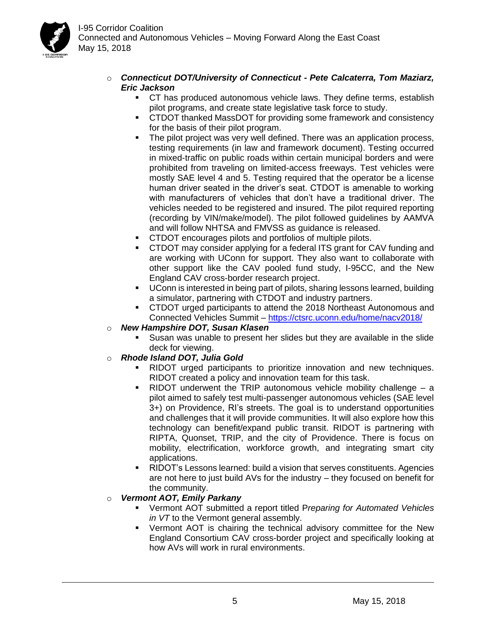

- o *Connecticut DOT/University of Connecticut - Pete Calcaterra, Tom Maziarz, Eric Jackson*
	- CT has produced autonomous vehicle laws. They define terms, establish pilot programs, and create state legislative task force to study.
	- CTDOT thanked MassDOT for providing some framework and consistency for the basis of their pilot program.
	- The pilot project was very well defined. There was an application process, testing requirements (in law and framework document). Testing occurred in mixed-traffic on public roads within certain municipal borders and were prohibited from traveling on limited-access freeways. Test vehicles were mostly SAE level 4 and 5. Testing required that the operator be a license human driver seated in the driver's seat. CTDOT is amenable to working with manufacturers of vehicles that don't have a traditional driver. The vehicles needed to be registered and insured. The pilot required reporting (recording by VIN/make/model). The pilot followed guidelines by AAMVA and will follow NHTSA and FMVSS as guidance is released.
	- CTDOT encourages pilots and portfolios of multiple pilots.
	- CTDOT may consider applying for a federal ITS grant for CAV funding and are working with UConn for support. They also want to collaborate with other support like the CAV pooled fund study, I-95CC, and the New England CAV cross-border research project.
	- UConn is interested in being part of pilots, sharing lessons learned, building a simulator, partnering with CTDOT and industry partners.
	- CTDOT urged participants to attend the 2018 Northeast Autonomous and Connected Vehicles Summit – <https://ctsrc.uconn.edu/home/nacv2018/>
- o *New Hampshire DOT, Susan Klasen*
	- Susan was unable to present her slides but they are available in the slide deck for viewing.
- o *Rhode Island DOT, Julia Gold*
	- RIDOT urged participants to prioritize innovation and new techniques. RIDOT created a policy and innovation team for this task.
	- $\blacksquare$  RIDOT underwent the TRIP autonomous vehicle mobility challenge  $-$  a pilot aimed to safely test multi-passenger autonomous vehicles (SAE level 3+) on Providence, RI's streets. The goal is to understand opportunities and challenges that it will provide communities. It will also explore how this technology can benefit/expand public transit. RIDOT is partnering with RIPTA, Quonset, TRIP, and the city of Providence. There is focus on mobility, electrification, workforce growth, and integrating smart city applications.
	- **EXALGET 2.5 RIDOT's Lessons learned: build a vision that serves constituents. Agencies** are not here to just build AVs for the industry – they focused on benefit for the community.

#### o *Vermont AOT, Emily Parkany*

- Vermont AOT submitted a report titled P*reparing for Automated Vehicles in VT* to the Vermont general assembly.
- Vermont AOT is chairing the technical advisory committee for the New England Consortium CAV cross-border project and specifically looking at how AVs will work in rural environments.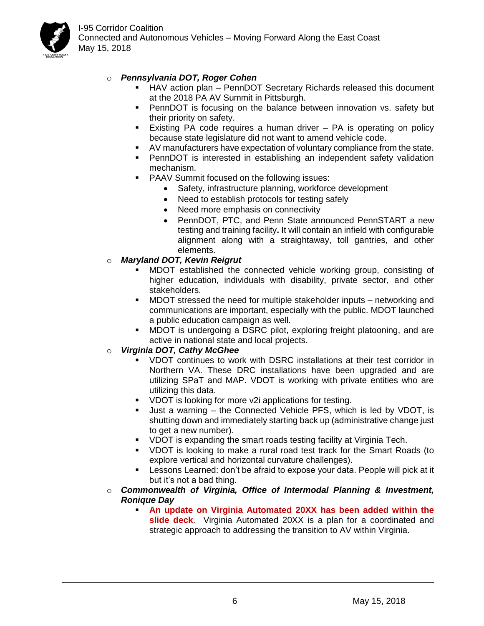

I-95 Corridor Coalition Connected and Autonomous Vehicles – Moving Forward Along the East Coast May 15, 2018

- o *Pennsylvania DOT, Roger Cohen*
	- HAV action plan PennDOT Secretary Richards released this document at the 2018 PA AV Summit in Pittsburgh.
	- **•** PennDOT is focusing on the balance between innovation vs. safety but their priority on safety.
	- **Existing PA code requires a human driver PA is operating on policy** because state legislature did not want to amend vehicle code.
	- AV manufacturers have expectation of voluntary compliance from the state.
	- **•** PennDOT is interested in establishing an independent safety validation mechanism.
	- PAAV Summit focused on the following issues:
		- Safety, infrastructure planning, workforce development
		- Need to establish protocols for testing safely
		- Need more emphasis on connectivity
		- PennDOT, PTC, and Penn State announced PennSTART a new testing and training facility**.** It will contain an infield with configurable alignment along with a straightaway, toll gantries, and other elements.

#### o *Maryland DOT, Kevin Reigrut*

- MDOT established the connected vehicle working group, consisting of higher education, individuals with disability, private sector, and other stakeholders.
- MDOT stressed the need for multiple stakeholder inputs networking and communications are important, especially with the public. MDOT launched a public education campaign as well.
- MDOT is undergoing a DSRC pilot, exploring freight platooning, and are active in national state and local projects.

#### o *Virginia DOT, Cathy McGhee*

- VDOT continues to work with DSRC installations at their test corridor in Northern VA. These DRC installations have been upgraded and are utilizing SPaT and MAP. VDOT is working with private entities who are utilizing this data.
- VDOT is looking for more v2i applications for testing.
- Just a warning the Connected Vehicle PFS, which is led by VDOT, is shutting down and immediately starting back up (administrative change just to get a new number).
- VDOT is expanding the smart roads testing facility at Virginia Tech.
- VDOT is looking to make a rural road test track for the Smart Roads (to explore vertical and horizontal curvature challenges).
- Lessons Learned: don't be afraid to expose your data. People will pick at it but it's not a bad thing.
- o *Commonwealth of Virginia, Office of Intermodal Planning & Investment, Ronique Day*
	- An update on Virginia Automated 20XX has been added within the **slide deck**. Virginia Automated 20XX is a plan for a coordinated and strategic approach to addressing the transition to AV within Virginia.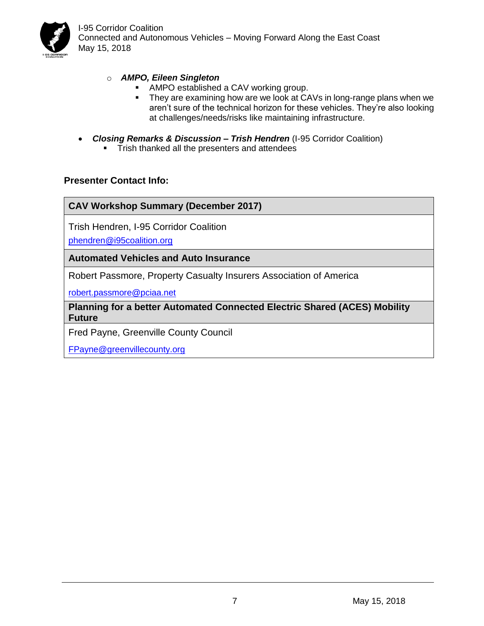

I-95 Corridor Coalition Connected and Autonomous Vehicles – Moving Forward Along the East Coast May 15, 2018

#### o *AMPO, Eileen Singleton*

- AMPO established a CAV working group.
- They are examining how are we look at CAVs in long-range plans when we aren't sure of the technical horizon for these vehicles. They're also looking at challenges/needs/risks like maintaining infrastructure.
- *Closing Remarks & Discussion – Trish Hendren* (I-95 Corridor Coalition)
	- **•** Trish thanked all the presenters and attendees

#### **Presenter Contact Info:**

**CAV Workshop Summary (December 2017)**

Trish Hendren, I-95 Corridor Coalition

[phendren@i95coalition.org](mailto:phendren@i95coalition.org)

**Automated Vehicles and Auto Insurance**

Robert Passmore, Property Casualty Insurers Association of America

[robert.passmore@pciaa.net](mailto:robert.passmore@pciaa.net)

**Planning for a better Automated Connected Electric Shared (ACES) Mobility Future** 

Fred Payne, Greenville County Council

[FPayne@greenvillecounty.org](mailto:FPayne@greenvillecounty.org)